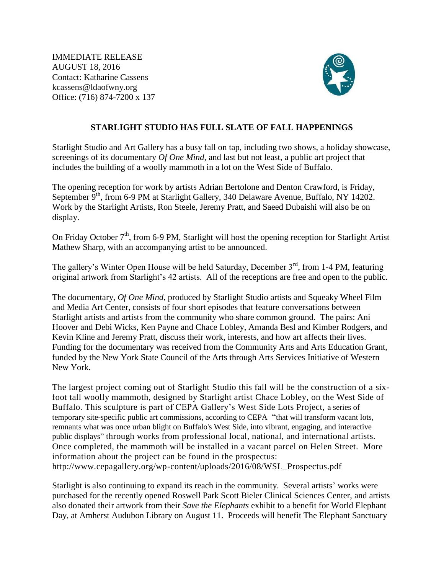IMMEDIATE RELEASE AUGUST 18, 2016 Contact: Katharine Cassens kcassens@ldaofwny.org Office: (716) 874-7200 x 137



## **STARLIGHT STUDIO HAS FULL SLATE OF FALL HAPPENINGS**

Starlight Studio and Art Gallery has a busy fall on tap, including two shows, a holiday showcase, screenings of its documentary *Of One Mind*, and last but not least, a public art project that includes the building of a woolly mammoth in a lot on the West Side of Buffalo.

The opening reception for work by artists Adrian Bertolone and Denton Crawford, is Friday, September 9<sup>th</sup>, from 6-9 PM at Starlight Gallery, 340 Delaware Avenue, Buffalo, NY 14202. Work by the Starlight Artists, Ron Steele, Jeremy Pratt, and Saeed Dubaishi will also be on display.

On Friday October  $7<sup>th</sup>$ , from 6-9 PM, Starlight will host the opening reception for Starlight Artist Mathew Sharp, with an accompanying artist to be announced.

The gallery's Winter Open House will be held Saturday, December  $3<sup>rd</sup>$ , from 1-4 PM, featuring original artwork from Starlight's 42 artists. All of the receptions are free and open to the public.

The documentary, *Of One Mind*, produced by Starlight Studio artists and Squeaky Wheel Film and Media Art Center*,* consists of four short episodes that feature conversations between Starlight artists and artists from the community who share common ground. The pairs: Ani Hoover and Debi Wicks, Ken Payne and Chace Lobley, Amanda Besl and Kimber Rodgers, and Kevin Kline and Jeremy Pratt, discuss their work, interests, and how art affects their lives. Funding for the documentary was received from the Community Arts and Arts Education Grant, funded by the New York State Council of the Arts through Arts Services Initiative of Western New York.

The largest project coming out of Starlight Studio this fall will be the construction of a sixfoot tall woolly mammoth, designed by Starlight artist Chace Lobley, on the West Side of Buffalo. This sculpture is part of CEPA Gallery's West Side Lots Project, a series of temporary site-specific public art commissions, according to CEPA "that will transform vacant lots, remnants what was once urban blight on Buffalo's West Side, into vibrant, engaging, and interactive public displays" through works from professional local, national, and international artists. Once completed, the mammoth will be installed in a vacant parcel on Helen Street. More information about the project can be found in the prospectus: http://www.cepagallery.org/wp-content/uploads/2016/08/WSL\_Prospectus.pdf

Starlight is also continuing to expand its reach in the community. Several artists' works were purchased for the recently opened Roswell Park Scott Bieler Clinical Sciences Center, and artists also donated their artwork from their *Save the Elephants* exhibit to a benefit for World Elephant Day, at Amherst Audubon Library on August 11. Proceeds will benefit The Elephant Sanctuary